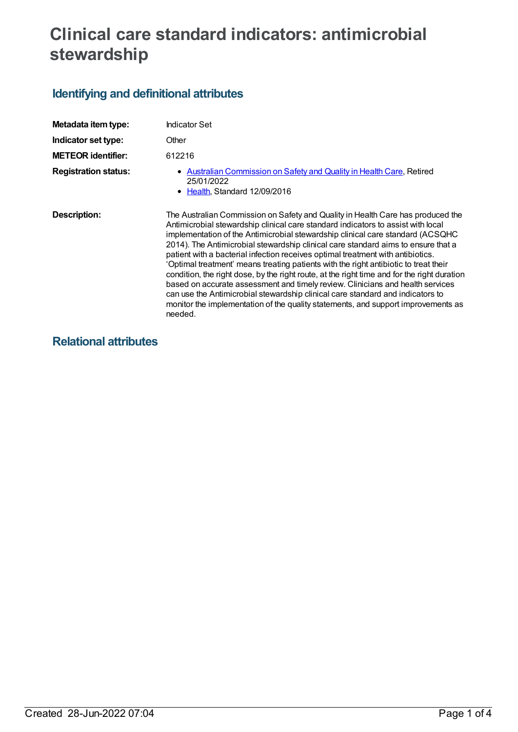# **Clinical care standard indicators: antimicrobial stewardship**

## **Identifying and definitional attributes**

| Metadata item type:         | Indicator Set                                                                                                                                                                                                                                                                                                                                                                                                                                                                                                                                                                                                                                                                                                                                                                                                                                                                            |
|-----------------------------|------------------------------------------------------------------------------------------------------------------------------------------------------------------------------------------------------------------------------------------------------------------------------------------------------------------------------------------------------------------------------------------------------------------------------------------------------------------------------------------------------------------------------------------------------------------------------------------------------------------------------------------------------------------------------------------------------------------------------------------------------------------------------------------------------------------------------------------------------------------------------------------|
| Indicator set type:         | Other                                                                                                                                                                                                                                                                                                                                                                                                                                                                                                                                                                                                                                                                                                                                                                                                                                                                                    |
| <b>METEOR identifier:</b>   | 612216                                                                                                                                                                                                                                                                                                                                                                                                                                                                                                                                                                                                                                                                                                                                                                                                                                                                                   |
| <b>Registration status:</b> | • Australian Commission on Safety and Quality in Health Care, Retired<br>25/01/2022<br>• Health, Standard 12/09/2016                                                                                                                                                                                                                                                                                                                                                                                                                                                                                                                                                                                                                                                                                                                                                                     |
| Description:                | The Australian Commission on Safety and Quality in Health Care has produced the<br>Antimicrobial stewardship clinical care standard indicators to assist with local<br>implementation of the Antimicrobial stewardship clinical care standard (ACSQHC<br>2014). The Antimicrobial stewardship clinical care standard aims to ensure that a<br>patient with a bacterial infection receives optimal treatment with antibiotics.<br>'Optimal treatment' means treating patients with the right antibiotic to treat their<br>condition, the right dose, by the right route, at the right time and for the right duration<br>based on accurate assessment and timely review. Clinicians and health services<br>can use the Antimicrobial stewardship clinical care standard and indicators to<br>monitor the implementation of the quality statements, and support improvements as<br>needed. |

### **Relational attributes**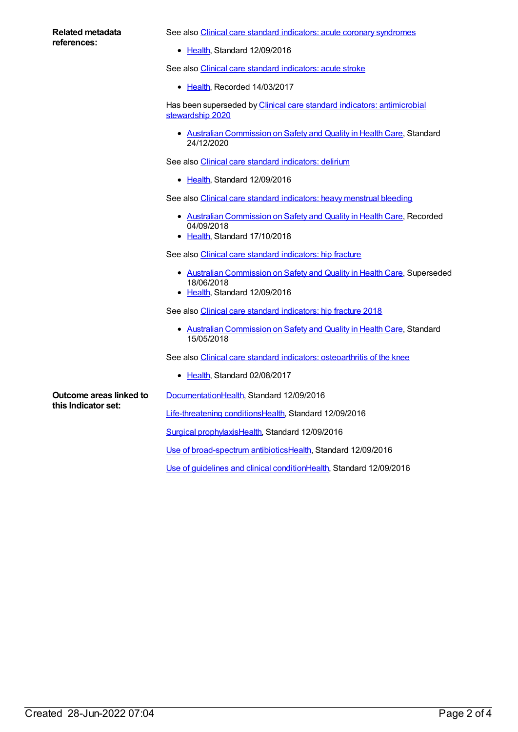#### **Related metadata references:**

See also Clinical care standard indicators: acute coronary [syndromes](https://meteor.aihw.gov.au/content/612027)

• [Health](https://meteor.aihw.gov.au/RegistrationAuthority/12), Standard 12/09/2016

See also Clinical care standard [indicators:](https://meteor.aihw.gov.au/content/627634) acute stroke

• [Health](https://meteor.aihw.gov.au/RegistrationAuthority/12), Recorded 14/03/2017

Has been superseded by Clinical care standard indicators: [antimicrobial](https://meteor.aihw.gov.au/content/736878) stewardship 2020

Australian [Commission](https://meteor.aihw.gov.au/RegistrationAuthority/18) on Safety and Quality in Health Care, Standard 24/12/2020

See also Clinical care standard [indicators:](https://meteor.aihw.gov.au/content/613164) delirium

• [Health](https://meteor.aihw.gov.au/RegistrationAuthority/12), Standard 12/09/2016

See also Clinical care standard [indicators:](https://meteor.aihw.gov.au/content/666572) heavy menstrual bleeding

- Australian [Commission](https://meteor.aihw.gov.au/RegistrationAuthority/18) on Safety and Quality in Health Care, Recorded 04/09/2018
- [Health](https://meteor.aihw.gov.au/RegistrationAuthority/12), Standard 17/10/2018

See also Clinical care standard [indicators:](https://meteor.aihw.gov.au/content/628043) hip fracture

- Australian [Commission](https://meteor.aihw.gov.au/RegistrationAuthority/18) on Safety and Quality in Health Care, Superseded 18/06/2018
- [Health](https://meteor.aihw.gov.au/RegistrationAuthority/12), Standard 12/09/2016

See also Clinical care standard [indicators:](https://meteor.aihw.gov.au/content/696424) hip fracture 2018

Australian [Commission](https://meteor.aihw.gov.au/RegistrationAuthority/18) on Safety and Quality in Health Care, Standard 15/05/2018

See also Clinical care standard indicators: [osteoarthritis](https://meteor.aihw.gov.au/content/644256) of the knee

• [Health](https://meteor.aihw.gov.au/RegistrationAuthority/12), Standard 02/08/2017

**Outcome areas linked to this Indicator set:**

[Documentation](https://meteor.aihw.gov.au/content/624355)[Health](https://meteor.aihw.gov.au/RegistrationAuthority/12), Standard 12/09/2016

[Life-threatening](https://meteor.aihw.gov.au/content/624344) conditions[Health](https://meteor.aihw.gov.au/RegistrationAuthority/12), Standard 12/09/2016

Surgical [prophylaxis](https://meteor.aihw.gov.au/content/624364)[Health,](https://meteor.aihw.gov.au/RegistrationAuthority/12) Standard 12/09/2016

Use of [broad-spectrum](https://meteor.aihw.gov.au/content/624357) antibiotics[Health,](https://meteor.aihw.gov.au/RegistrationAuthority/12) Standard 12/09/2016

Use of [guidelines](https://meteor.aihw.gov.au/content/624351) and clinical conditio[nHealth](https://meteor.aihw.gov.au/RegistrationAuthority/12), Standard 12/09/2016